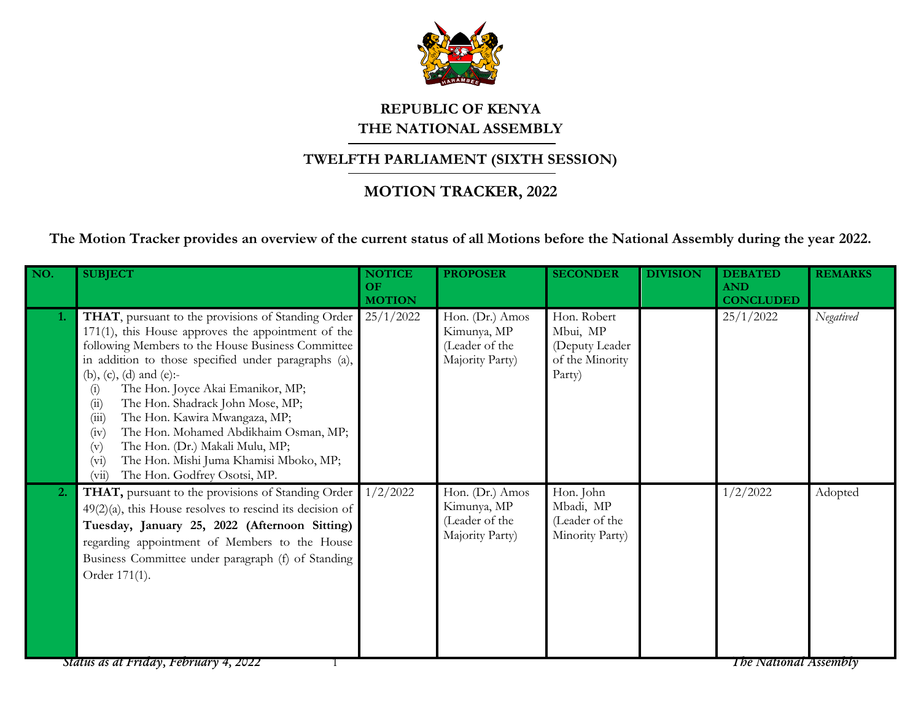

## **REPUBLIC OF KENYA THE NATIONAL ASSEMBLY**

## **TWELFTH PARLIAMENT (SIXTH SESSION)**

## **MOTION TRACKER, 2022**

**The Motion Tracker provides an overview of the current status of all Motions before the National Assembly during the year 2022.**

| NO.              | <b>SUBJECT</b>                                                                                                                                                                                                                                                                                                                                                                                                                                                                                                                                                              | <b>NOTICE</b><br>OF<br><b>MOTION</b> | <b>PROPOSER</b>                                                     | <b>SECONDER</b>                                                         | <b>DIVISION</b> | <b>DEBATED</b><br><b>AND</b><br><b>CONCLUDED</b> | <b>REMARKS</b> |
|------------------|-----------------------------------------------------------------------------------------------------------------------------------------------------------------------------------------------------------------------------------------------------------------------------------------------------------------------------------------------------------------------------------------------------------------------------------------------------------------------------------------------------------------------------------------------------------------------------|--------------------------------------|---------------------------------------------------------------------|-------------------------------------------------------------------------|-----------------|--------------------------------------------------|----------------|
| 1.               | THAT, pursuant to the provisions of Standing Order<br>171(1), this House approves the appointment of the<br>following Members to the House Business Committee<br>in addition to those specified under paragraphs (a),<br>(b), (c), (d) and (e):-<br>The Hon. Joyce Akai Emanikor, MP;<br>(i)<br>The Hon. Shadrack John Mose, MP;<br>(ii)<br>The Hon. Kawira Mwangaza, MP;<br>(iii)<br>The Hon. Mohamed Abdikhaim Osman, MP;<br>(iv)<br>The Hon. (Dr.) Makali Mulu, MP;<br>(v)<br>The Hon. Mishi Juma Khamisi Mboko, MP;<br>$(v_i)$<br>The Hon. Godfrey Osotsi, MP.<br>(vii) | 25/1/2022                            | Hon. (Dr.) Amos<br>Kimunya, MP<br>(Leader of the<br>Majority Party) | Hon. Robert<br>Mbui, MP<br>(Deputy Leader)<br>of the Minority<br>Party) |                 | 25/1/2022                                        | Negatived      |
| $\overline{2}$ . | THAT, pursuant to the provisions of Standing Order<br>$49(2)(a)$ , this House resolves to rescind its decision of<br>Tuesday, January 25, 2022 (Afternoon Sitting)<br>regarding appointment of Members to the House<br>Business Committee under paragraph (f) of Standing<br>Order 171(1).                                                                                                                                                                                                                                                                                  | 1/2/2022                             | Hon. (Dr.) Amos<br>Kimunya, MP<br>(Leader of the<br>Majority Party) | Hon. John<br>Mbadi, MP<br>(Leader of the<br>Minority Party)             |                 | 1/2/2022                                         | Adopted        |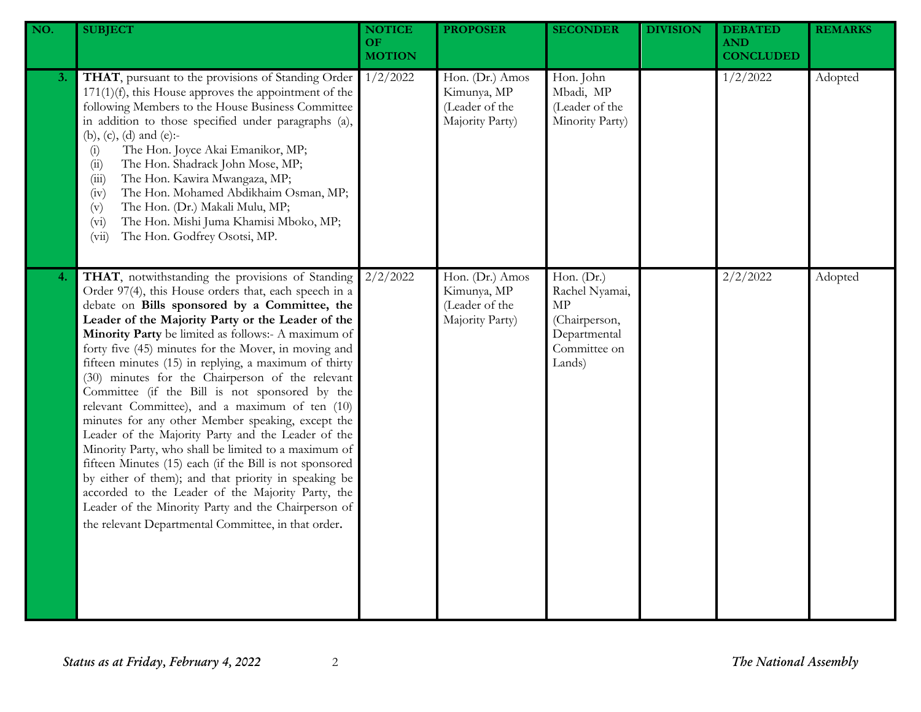| NO. | <b>SUBJECT</b>                                                                                                                                                                                                                                                                                                                                                                                                                                                                                                                                                                                                                                                                                                                                                                                                                                                                                                                                                                                           | <b>NOTICE</b><br>OF<br><b>MOTION</b> | <b>PROPOSER</b>                                                     | <b>SECONDER</b>                                                                               | <b>DIVISION</b> | <b>DEBATED</b><br><b>AND</b><br><b>CONCLUDED</b> | <b>REMARKS</b> |
|-----|----------------------------------------------------------------------------------------------------------------------------------------------------------------------------------------------------------------------------------------------------------------------------------------------------------------------------------------------------------------------------------------------------------------------------------------------------------------------------------------------------------------------------------------------------------------------------------------------------------------------------------------------------------------------------------------------------------------------------------------------------------------------------------------------------------------------------------------------------------------------------------------------------------------------------------------------------------------------------------------------------------|--------------------------------------|---------------------------------------------------------------------|-----------------------------------------------------------------------------------------------|-----------------|--------------------------------------------------|----------------|
| 3.  | THAT, pursuant to the provisions of Standing Order<br>$171(1)(f)$ , this House approves the appointment of the<br>following Members to the House Business Committee<br>in addition to those specified under paragraphs (a),<br>(b), (c), (d) and (e):-<br>The Hon. Joyce Akai Emanikor, MP;<br>(i)<br>The Hon. Shadrack John Mose, MP;<br>(ii)<br>The Hon. Kawira Mwangaza, MP;<br>(iii)<br>The Hon. Mohamed Abdikhaim Osman, MP;<br>(iv)<br>The Hon. (Dr.) Makali Mulu, MP;<br>(v)<br>The Hon. Mishi Juma Khamisi Mboko, MP;<br>(v <sub>i</sub> )<br>The Hon. Godfrey Osotsi, MP.<br>(vii)                                                                                                                                                                                                                                                                                                                                                                                                              | 1/2/2022                             | Hon. (Dr.) Amos<br>Kimunya, MP<br>(Leader of the<br>Majority Party) | Hon. John<br>Mbadi, MP<br>(Leader of the<br>Minority Party)                                   |                 | 1/2/2022                                         | Adopted        |
| 4.  | THAT, notwithstanding the provisions of Standing<br>Order 97(4), this House orders that, each speech in a<br>debate on Bills sponsored by a Committee, the<br>Leader of the Majority Party or the Leader of the<br>Minority Party be limited as follows:- A maximum of<br>forty five (45) minutes for the Mover, in moving and<br>fifteen minutes (15) in replying, a maximum of thirty<br>(30) minutes for the Chairperson of the relevant<br>Committee (if the Bill is not sponsored by the<br>relevant Committee), and a maximum of ten (10)<br>minutes for any other Member speaking, except the<br>Leader of the Majority Party and the Leader of the<br>Minority Party, who shall be limited to a maximum of<br>fifteen Minutes (15) each (if the Bill is not sponsored<br>by either of them); and that priority in speaking be<br>accorded to the Leader of the Majority Party, the<br>Leader of the Minority Party and the Chairperson of<br>the relevant Departmental Committee, in that order. | 2/2/2022                             | Hon. (Dr.) Amos<br>Kimunya, MP<br>(Leader of the<br>Majority Party) | Hon. (Dr.)<br>Rachel Nyamai,<br>MP<br>(Chairperson,<br>Departmental<br>Committee on<br>Lands) |                 | 2/2/2022                                         | Adopted        |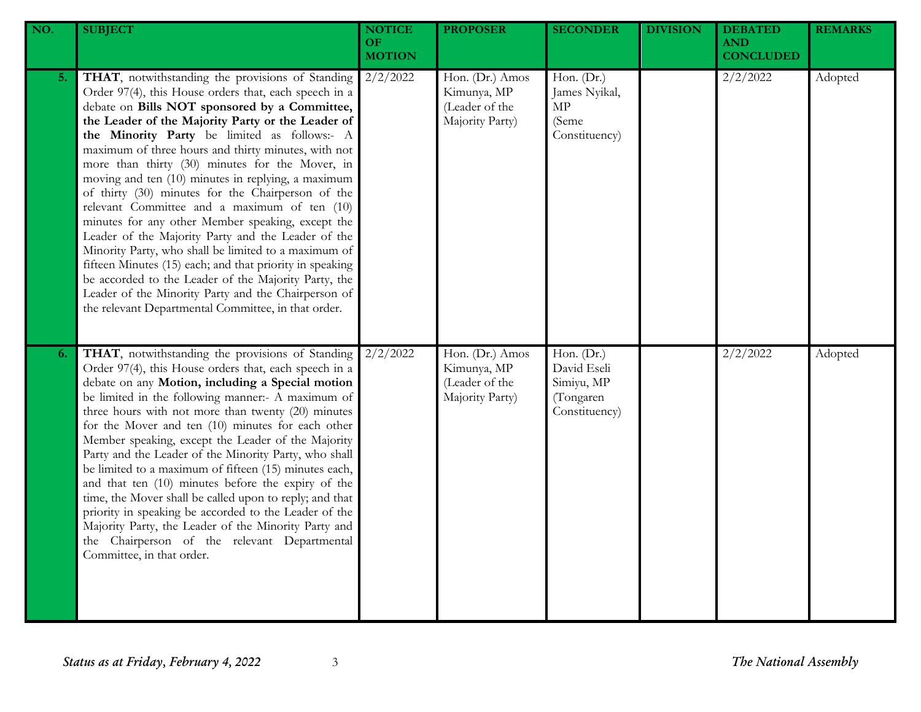| NO. | <b>SUBJECT</b>                                                                                                                                                                                                                                                                                                                                                                                                                                                                                                                                                                                                                                                                                                                                                                                                                                                                                                                            | <b>NOTICE</b><br>OF<br><b>MOTION</b> | <b>PROPOSER</b>                                                     | <b>SECONDER</b>                                                         | <b>DIVISION</b> | <b>DEBATED</b><br><b>AND</b><br><b>CONCLUDED</b> | <b>REMARKS</b> |
|-----|-------------------------------------------------------------------------------------------------------------------------------------------------------------------------------------------------------------------------------------------------------------------------------------------------------------------------------------------------------------------------------------------------------------------------------------------------------------------------------------------------------------------------------------------------------------------------------------------------------------------------------------------------------------------------------------------------------------------------------------------------------------------------------------------------------------------------------------------------------------------------------------------------------------------------------------------|--------------------------------------|---------------------------------------------------------------------|-------------------------------------------------------------------------|-----------------|--------------------------------------------------|----------------|
| 5.  | THAT, notwithstanding the provisions of Standing<br>Order 97(4), this House orders that, each speech in a<br>debate on Bills NOT sponsored by a Committee,<br>the Leader of the Majority Party or the Leader of<br>the Minority Party be limited as follows:- A<br>maximum of three hours and thirty minutes, with not<br>more than thirty (30) minutes for the Mover, in<br>moving and ten (10) minutes in replying, a maximum<br>of thirty (30) minutes for the Chairperson of the<br>relevant Committee and a maximum of ten (10)<br>minutes for any other Member speaking, except the<br>Leader of the Majority Party and the Leader of the<br>Minority Party, who shall be limited to a maximum of<br>fifteen Minutes (15) each; and that priority in speaking<br>be accorded to the Leader of the Majority Party, the<br>Leader of the Minority Party and the Chairperson of<br>the relevant Departmental Committee, in that order. | 2/2/2022                             | Hon. (Dr.) Amos<br>Kimunya, MP<br>(Leader of the<br>Majority Party) | Hon. (Dr.)<br>James Nyikal,<br>MP<br>(Seme<br>Constituency)             |                 | 2/2/2022                                         | Adopted        |
| 6.  | THAT, notwithstanding the provisions of Standing<br>Order 97(4), this House orders that, each speech in a<br>debate on any Motion, including a Special motion<br>be limited in the following manner:- A maximum of<br>three hours with not more than twenty (20) minutes<br>for the Mover and ten (10) minutes for each other<br>Member speaking, except the Leader of the Majority<br>Party and the Leader of the Minority Party, who shall<br>be limited to a maximum of fifteen (15) minutes each,<br>and that ten (10) minutes before the expiry of the<br>time, the Mover shall be called upon to reply; and that<br>priority in speaking be accorded to the Leader of the<br>Majority Party, the Leader of the Minority Party and<br>the Chairperson of the relevant Departmental<br>Committee, in that order.                                                                                                                      | 2/2/2022                             | Hon. (Dr.) Amos<br>Kimunya, MP<br>(Leader of the<br>Majority Party) | Hon. $(Dr.)$<br>David Eseli<br>Simiyu, MP<br>(Tongaren<br>Constituency) |                 | 2/2/2022                                         | Adopted        |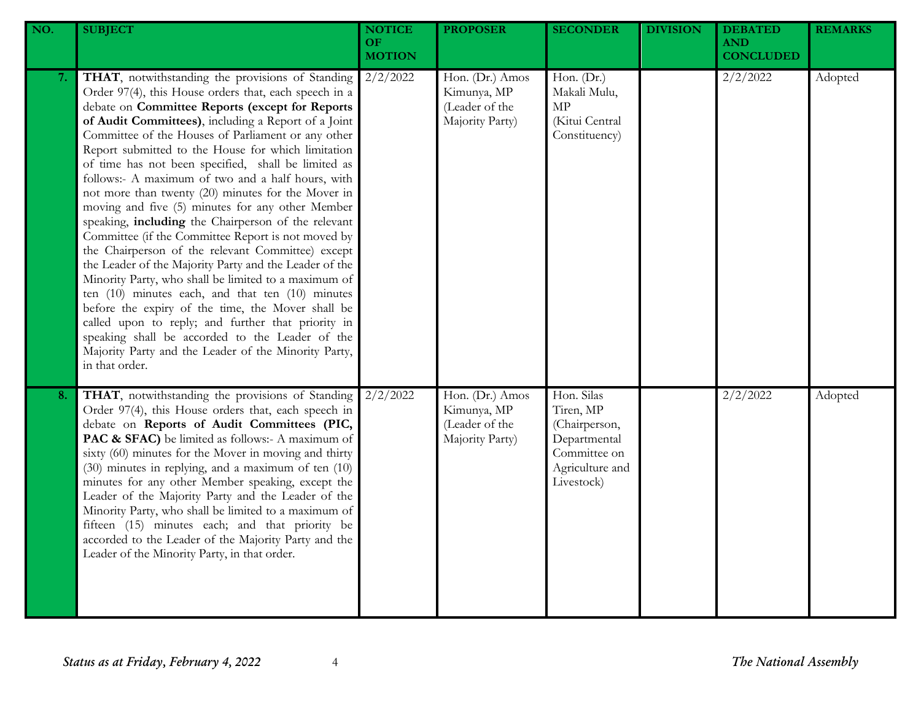| NO. | <b>SUBJECT</b>                                                                                                                                                                                                                                                                                                                                                                                                                                                                                                                                                                                                                                                                                                                                                                                                                                                                                                                                                                                                                                                                                                                            | <b>NOTICE</b><br>OF.<br><b>MOTION</b> | <b>PROPOSER</b>                                                     | <b>SECONDER</b>                                                                                           | <b>DIVISION</b> | <b>DEBATED</b><br><b>AND</b><br><b>CONCLUDED</b> | <b>REMARKS</b> |
|-----|-------------------------------------------------------------------------------------------------------------------------------------------------------------------------------------------------------------------------------------------------------------------------------------------------------------------------------------------------------------------------------------------------------------------------------------------------------------------------------------------------------------------------------------------------------------------------------------------------------------------------------------------------------------------------------------------------------------------------------------------------------------------------------------------------------------------------------------------------------------------------------------------------------------------------------------------------------------------------------------------------------------------------------------------------------------------------------------------------------------------------------------------|---------------------------------------|---------------------------------------------------------------------|-----------------------------------------------------------------------------------------------------------|-----------------|--------------------------------------------------|----------------|
| 7.  | THAT, notwithstanding the provisions of Standing<br>Order 97(4), this House orders that, each speech in a<br>debate on Committee Reports (except for Reports<br>of Audit Committees), including a Report of a Joint<br>Committee of the Houses of Parliament or any other<br>Report submitted to the House for which limitation<br>of time has not been specified, shall be limited as<br>follows:- A maximum of two and a half hours, with<br>not more than twenty (20) minutes for the Mover in<br>moving and five (5) minutes for any other Member<br>speaking, including the Chairperson of the relevant<br>Committee (if the Committee Report is not moved by<br>the Chairperson of the relevant Committee) except<br>the Leader of the Majority Party and the Leader of the<br>Minority Party, who shall be limited to a maximum of<br>ten $(10)$ minutes each, and that ten $(10)$ minutes<br>before the expiry of the time, the Mover shall be<br>called upon to reply; and further that priority in<br>speaking shall be accorded to the Leader of the<br>Majority Party and the Leader of the Minority Party,<br>in that order. | $2/2/\overline{2022}$                 | Hon. (Dr.) Amos<br>Kimunya, MP<br>(Leader of the<br>Majority Party) | Hon. (Dr.)<br>Makali Mulu,<br>$\ensuremath{\mathrm{MP}}$<br>(Kitui Central<br>Constituency)               |                 | 2/2/2022                                         | Adopted        |
| 8.  | THAT, notwithstanding the provisions of Standing<br>Order 97(4), this House orders that, each speech in<br>debate on Reports of Audit Committees (PIC,<br>PAC & SFAC) be limited as follows:- A maximum of<br>sixty (60) minutes for the Mover in moving and thirty<br>(30) minutes in replying, and a maximum of ten (10)<br>minutes for any other Member speaking, except the<br>Leader of the Majority Party and the Leader of the<br>Minority Party, who shall be limited to a maximum of<br>fifteen (15) minutes each; and that priority be<br>accorded to the Leader of the Majority Party and the<br>Leader of the Minority Party, in that order.                                                                                                                                                                                                                                                                                                                                                                                                                                                                                  | 2/2/2022                              | Hon. (Dr.) Amos<br>Kimunya, MP<br>(Leader of the<br>Majority Party) | Hon. Silas<br>Tiren, MP<br>(Chairperson,<br>Departmental<br>Committee on<br>Agriculture and<br>Livestock) |                 | 2/2/2022                                         | Adopted        |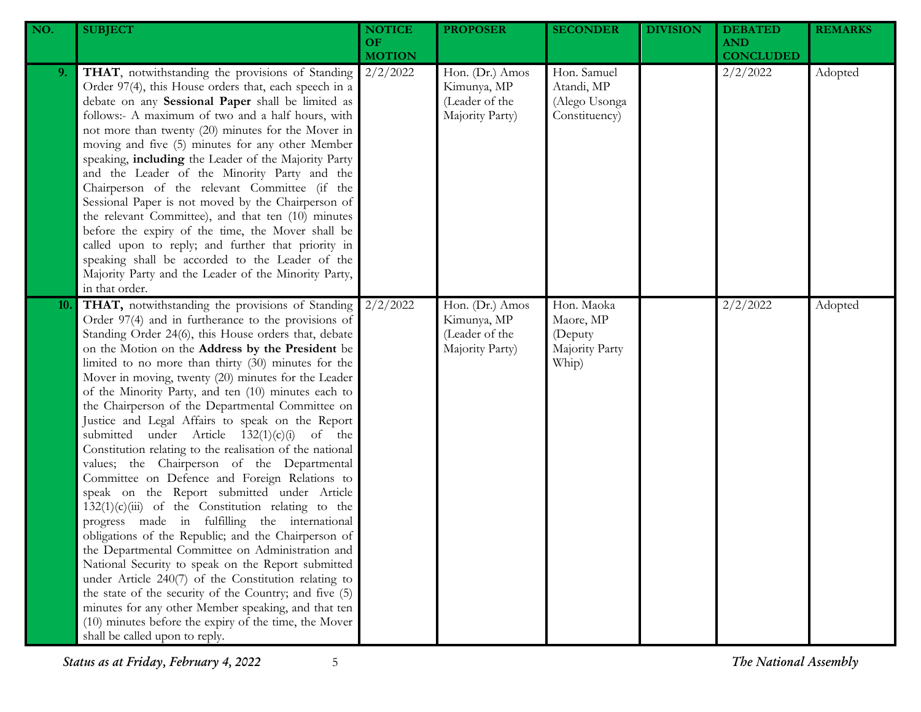| NO. | <b>SUBJECT</b>                                                                                                                                                                                                                                                                                                                                                                                                                                                                                                                                                                                                                                                                                                                                                                                                                                                                                                                                                                                                                                                                                                                                                                                                                                                                                             | <b>NOTICE</b><br><b>OF</b><br><b>MOTION</b> | <b>PROPOSER</b>                                                     | <b>SECONDER</b>                                               | <b>DIVISION</b> | <b>DEBATED</b><br><b>AND</b><br><b>CONCLUDED</b> | <b>REMARKS</b> |
|-----|------------------------------------------------------------------------------------------------------------------------------------------------------------------------------------------------------------------------------------------------------------------------------------------------------------------------------------------------------------------------------------------------------------------------------------------------------------------------------------------------------------------------------------------------------------------------------------------------------------------------------------------------------------------------------------------------------------------------------------------------------------------------------------------------------------------------------------------------------------------------------------------------------------------------------------------------------------------------------------------------------------------------------------------------------------------------------------------------------------------------------------------------------------------------------------------------------------------------------------------------------------------------------------------------------------|---------------------------------------------|---------------------------------------------------------------------|---------------------------------------------------------------|-----------------|--------------------------------------------------|----------------|
| 9.  | THAT, notwithstanding the provisions of Standing<br>Order 97(4), this House orders that, each speech in a<br>debate on any Sessional Paper shall be limited as<br>follows:- A maximum of two and a half hours, with<br>not more than twenty (20) minutes for the Mover in<br>moving and five (5) minutes for any other Member<br>speaking, including the Leader of the Majority Party<br>and the Leader of the Minority Party and the<br>Chairperson of the relevant Committee (if the<br>Sessional Paper is not moved by the Chairperson of<br>the relevant Committee), and that ten (10) minutes<br>before the expiry of the time, the Mover shall be<br>called upon to reply; and further that priority in<br>speaking shall be accorded to the Leader of the<br>Majority Party and the Leader of the Minority Party,<br>in that order.                                                                                                                                                                                                                                                                                                                                                                                                                                                                 | 2/2/2022                                    | Hon. (Dr.) Amos<br>Kimunya, MP<br>(Leader of the<br>Majority Party) | Hon. Samuel<br>Atandi, MP<br>(Alego Usonga<br>Constituency)   |                 | 2/2/2022                                         | Adopted        |
| 10. | THAT, notwithstanding the provisions of Standing<br>Order 97(4) and in furtherance to the provisions of<br>Standing Order 24(6), this House orders that, debate<br>on the Motion on the Address by the President be<br>limited to no more than thirty (30) minutes for the<br>Mover in moving, twenty (20) minutes for the Leader<br>of the Minority Party, and ten (10) minutes each to<br>the Chairperson of the Departmental Committee on<br>Justice and Legal Affairs to speak on the Report<br>submitted under Article $132(1)(c)(i)$ of the<br>Constitution relating to the realisation of the national<br>values; the Chairperson of the Departmental<br>Committee on Defence and Foreign Relations to<br>speak on the Report submitted under Article<br>$132(1)(c)(iii)$ of the Constitution relating to the<br>progress made in fulfilling the international<br>obligations of the Republic; and the Chairperson of<br>the Departmental Committee on Administration and<br>National Security to speak on the Report submitted<br>under Article 240(7) of the Constitution relating to<br>the state of the security of the Country; and five (5)<br>minutes for any other Member speaking, and that ten<br>(10) minutes before the expiry of the time, the Mover<br>shall be called upon to reply. | 2/2/2022                                    | Hon. (Dr.) Amos<br>Kimunya, MP<br>(Leader of the<br>Majority Party) | Hon. Maoka<br>Maore, MP<br>(Deputy<br>Majority Party<br>Whip) |                 | 2/2/2022                                         | Adopted        |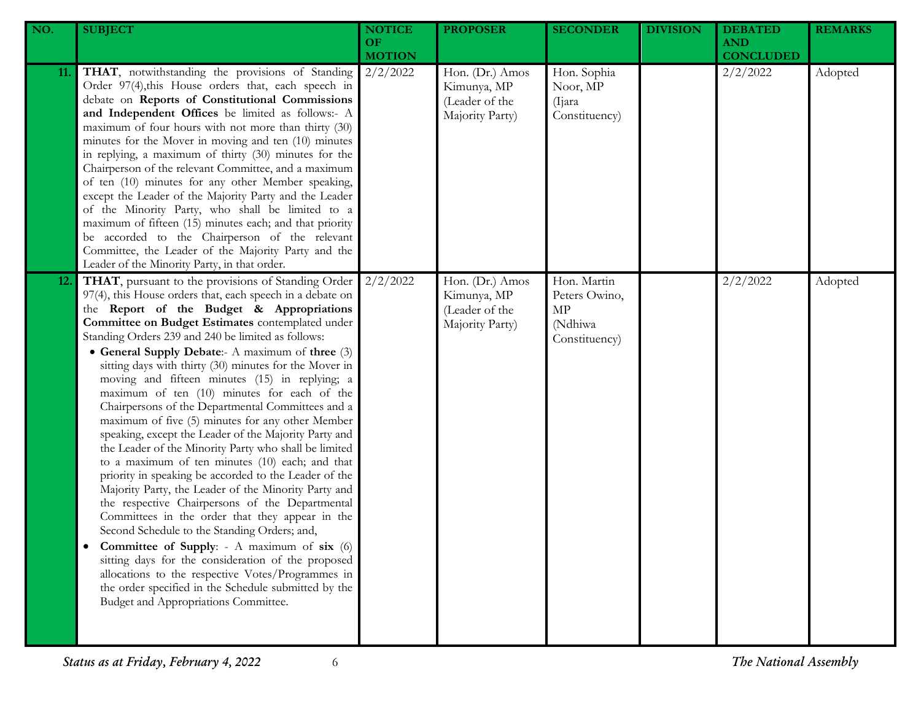| NO.        | <b>SUBJECT</b>                                                                                                                                                                                                                                                                                                                                                                                                                                                                                                                                                                                                                                                                                                                                                                                                                                                                                                                                                                                                                                                                                                                                                                                                                                                                                       | <b>NOTICE</b><br>OF.<br><b>MOTION</b> | <b>PROPOSER</b>                                                     | <b>SECONDER</b>                                                | <b>DIVISION</b> | <b>DEBATED</b><br><b>AND</b><br><b>CONCLUDED</b> | <b>REMARKS</b> |
|------------|------------------------------------------------------------------------------------------------------------------------------------------------------------------------------------------------------------------------------------------------------------------------------------------------------------------------------------------------------------------------------------------------------------------------------------------------------------------------------------------------------------------------------------------------------------------------------------------------------------------------------------------------------------------------------------------------------------------------------------------------------------------------------------------------------------------------------------------------------------------------------------------------------------------------------------------------------------------------------------------------------------------------------------------------------------------------------------------------------------------------------------------------------------------------------------------------------------------------------------------------------------------------------------------------------|---------------------------------------|---------------------------------------------------------------------|----------------------------------------------------------------|-----------------|--------------------------------------------------|----------------|
| 11.        | THAT, notwithstanding the provisions of Standing<br>Order 97(4), this House orders that, each speech in<br>debate on Reports of Constitutional Commissions<br>and Independent Offices be limited as follows:- A<br>maximum of four hours with not more than thirty (30)<br>minutes for the Mover in moving and ten (10) minutes<br>in replying, a maximum of thirty (30) minutes for the<br>Chairperson of the relevant Committee, and a maximum<br>of ten (10) minutes for any other Member speaking,<br>except the Leader of the Majority Party and the Leader<br>of the Minority Party, who shall be limited to a<br>maximum of fifteen (15) minutes each; and that priority<br>be accorded to the Chairperson of the relevant<br>Committee, the Leader of the Majority Party and the<br>Leader of the Minority Party, in that order.                                                                                                                                                                                                                                                                                                                                                                                                                                                             | 2/2/2022                              | Hon. (Dr.) Amos<br>Kimunya, MP<br>(Leader of the<br>Majority Party) | Hon. Sophia<br>Noor, MP<br>(Ijara)<br>Constituency)            |                 | 2/2/2022                                         | Adopted        |
| <b>12.</b> | THAT, pursuant to the provisions of Standing Order<br>97(4), this House orders that, each speech in a debate on<br>the Report of the Budget & Appropriations<br>Committee on Budget Estimates contemplated under<br>Standing Orders 239 and 240 be limited as follows:<br>• General Supply Debate:- A maximum of three (3)<br>sitting days with thirty (30) minutes for the Mover in<br>moving and fifteen minutes (15) in replying; a<br>maximum of ten (10) minutes for each of the<br>Chairpersons of the Departmental Committees and a<br>maximum of five (5) minutes for any other Member<br>speaking, except the Leader of the Majority Party and<br>the Leader of the Minority Party who shall be limited<br>to a maximum of ten minutes (10) each; and that<br>priority in speaking be accorded to the Leader of the<br>Majority Party, the Leader of the Minority Party and<br>the respective Chairpersons of the Departmental<br>Committees in the order that they appear in the<br>Second Schedule to the Standing Orders; and,<br>Committee of Supply: - A maximum of six (6)<br>sitting days for the consideration of the proposed<br>allocations to the respective Votes/Programmes in<br>the order specified in the Schedule submitted by the<br>Budget and Appropriations Committee. | 2/2/2022                              | Hon. (Dr.) Amos<br>Kimunya, MP<br>(Leader of the<br>Majority Party) | Hon. Martin<br>Peters Owino,<br>MP<br>(Ndhiwa<br>Constituency) |                 | 2/2/2022                                         | Adopted        |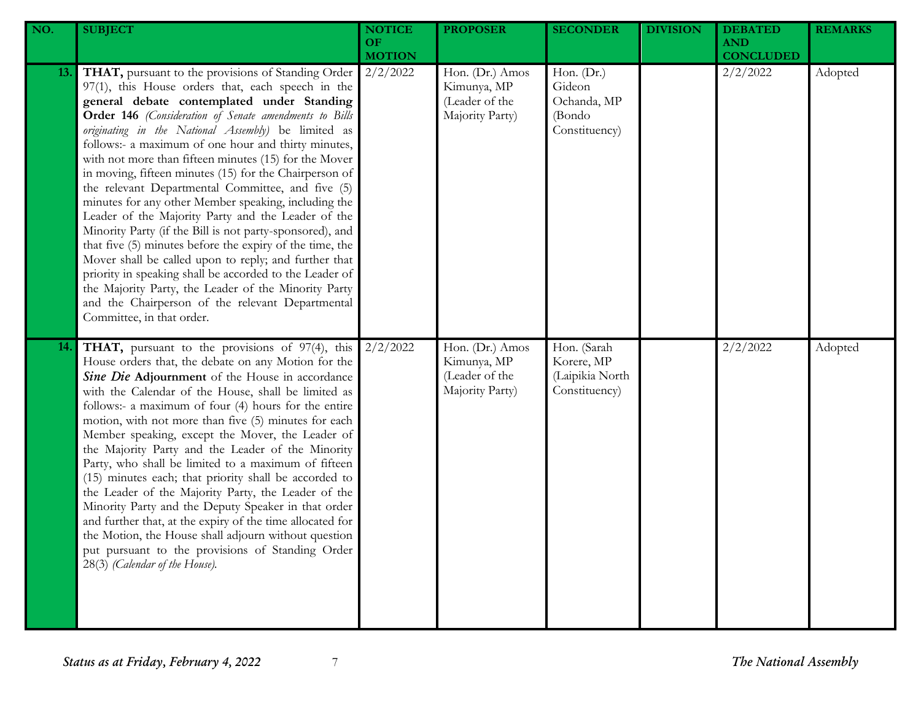| NO.        | <b>SUBJECT</b>                                                                                                                                                                                                                                                                                                                                                                                                                                                                                                                                                                                                                                                                                                                                                                                                                                                                                                                                                                                           | <b>NOTICE</b><br><b>OF</b><br><b>MOTION</b> | <b>PROPOSER</b>                                                     | <b>SECONDER</b>                                                | <b>DIVISION</b> | <b>DEBATED</b><br><b>AND</b><br><b>CONCLUDED</b> | <b>REMARKS</b> |
|------------|----------------------------------------------------------------------------------------------------------------------------------------------------------------------------------------------------------------------------------------------------------------------------------------------------------------------------------------------------------------------------------------------------------------------------------------------------------------------------------------------------------------------------------------------------------------------------------------------------------------------------------------------------------------------------------------------------------------------------------------------------------------------------------------------------------------------------------------------------------------------------------------------------------------------------------------------------------------------------------------------------------|---------------------------------------------|---------------------------------------------------------------------|----------------------------------------------------------------|-----------------|--------------------------------------------------|----------------|
| 13.        | THAT, pursuant to the provisions of Standing Order<br>97(1), this House orders that, each speech in the<br>general debate contemplated under Standing<br>Order 146 (Consideration of Senate amendments to Bills<br>originating in the National Assembly) be limited as<br>follows:- a maximum of one hour and thirty minutes,<br>with not more than fifteen minutes (15) for the Mover<br>in moving, fifteen minutes (15) for the Chairperson of<br>the relevant Departmental Committee, and five (5)<br>minutes for any other Member speaking, including the<br>Leader of the Majority Party and the Leader of the<br>Minority Party (if the Bill is not party-sponsored), and<br>that five (5) minutes before the expiry of the time, the<br>Mover shall be called upon to reply; and further that<br>priority in speaking shall be accorded to the Leader of<br>the Majority Party, the Leader of the Minority Party<br>and the Chairperson of the relevant Departmental<br>Committee, in that order. | 2/2/2022                                    | Hon. (Dr.) Amos<br>Kimunya, MP<br>(Leader of the<br>Majority Party) | Hon. (Dr.)<br>Gideon<br>Ochanda, MP<br>(Bondo<br>Constituency) |                 | 2/2/2022                                         | Adopted        |
| <b>14.</b> | <b>THAT</b> , pursuant to the provisions of 97(4), this<br>House orders that, the debate on any Motion for the<br>Sine Die Adjournment of the House in accordance<br>with the Calendar of the House, shall be limited as<br>follows:- a maximum of four (4) hours for the entire<br>motion, with not more than five (5) minutes for each<br>Member speaking, except the Mover, the Leader of<br>the Majority Party and the Leader of the Minority<br>Party, who shall be limited to a maximum of fifteen<br>(15) minutes each; that priority shall be accorded to<br>the Leader of the Majority Party, the Leader of the<br>Minority Party and the Deputy Speaker in that order<br>and further that, at the expiry of the time allocated for<br>the Motion, the House shall adjourn without question<br>put pursuant to the provisions of Standing Order<br>28(3) (Calendar of the House).                                                                                                               | 2/2/2022                                    | Hon. (Dr.) Amos<br>Kimunya, MP<br>(Leader of the<br>Majority Party) | Hon. (Sarah<br>Korere, MP<br>(Laipikia North<br>Constituency)  |                 | 2/2/2022                                         | Adopted        |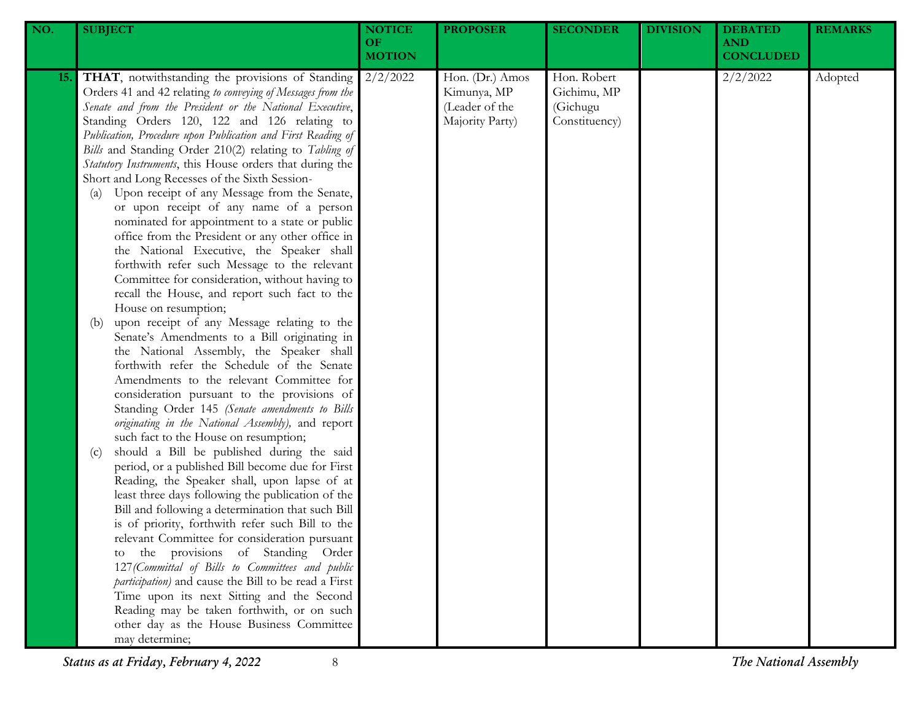| NO.        | <b>SUBJECT</b>                                                                                                                                                                                                                                                                                                                                                                                                                                                                                                                                                                                                                                                                                                                                                                                                                                                                                                                                                                                                                                                                                                                                                                                                                                                                                                                                                                                                                                                                                                                                                                                                                                                                                                                                                                                                                                                                                                                                                                                                                     | <b>NOTICE</b><br>OF<br><b>MOTION</b> | <b>PROPOSER</b>                                                     | <b>SECONDER</b>                                         | <b>DIVISION</b> | <b>DEBATED</b><br><b>AND</b><br><b>CONCLUDED</b> | <b>REMARKS</b> |
|------------|------------------------------------------------------------------------------------------------------------------------------------------------------------------------------------------------------------------------------------------------------------------------------------------------------------------------------------------------------------------------------------------------------------------------------------------------------------------------------------------------------------------------------------------------------------------------------------------------------------------------------------------------------------------------------------------------------------------------------------------------------------------------------------------------------------------------------------------------------------------------------------------------------------------------------------------------------------------------------------------------------------------------------------------------------------------------------------------------------------------------------------------------------------------------------------------------------------------------------------------------------------------------------------------------------------------------------------------------------------------------------------------------------------------------------------------------------------------------------------------------------------------------------------------------------------------------------------------------------------------------------------------------------------------------------------------------------------------------------------------------------------------------------------------------------------------------------------------------------------------------------------------------------------------------------------------------------------------------------------------------------------------------------------|--------------------------------------|---------------------------------------------------------------------|---------------------------------------------------------|-----------------|--------------------------------------------------|----------------|
| <b>15.</b> | THAT, notwithstanding the provisions of Standing<br>Orders 41 and 42 relating to conveying of Messages from the<br>Senate and from the President or the National Executive,<br>Standing Orders 120, 122 and 126 relating to<br>Publication, Procedure upon Publication and First Reading of<br>Bills and Standing Order 210(2) relating to Tabling of<br>Statutory Instruments, this House orders that during the<br>Short and Long Recesses of the Sixth Session-<br>Upon receipt of any Message from the Senate,<br>(a)<br>or upon receipt of any name of a person<br>nominated for appointment to a state or public<br>office from the President or any other office in<br>the National Executive, the Speaker shall<br>forthwith refer such Message to the relevant<br>Committee for consideration, without having to<br>recall the House, and report such fact to the<br>House on resumption;<br>upon receipt of any Message relating to the<br>(b)<br>Senate's Amendments to a Bill originating in<br>the National Assembly, the Speaker shall<br>forthwith refer the Schedule of the Senate<br>Amendments to the relevant Committee for<br>consideration pursuant to the provisions of<br>Standing Order 145 (Senate amendments to Bills<br>originating in the National Assembly), and report<br>such fact to the House on resumption;<br>should a Bill be published during the said<br>(c)<br>period, or a published Bill become due for First<br>Reading, the Speaker shall, upon lapse of at<br>least three days following the publication of the<br>Bill and following a determination that such Bill<br>is of priority, forthwith refer such Bill to the<br>relevant Committee for consideration pursuant<br>to the provisions of Standing Order<br>127 (Committal of Bills to Committees and public<br>participation) and cause the Bill to be read a First<br>Time upon its next Sitting and the Second<br>Reading may be taken forthwith, or on such<br>other day as the House Business Committee<br>may determine; | 2/2/2022                             | Hon. (Dr.) Amos<br>Kimunya, MP<br>(Leader of the<br>Majority Party) | Hon. Robert<br>Gichimu, MP<br>(Gichugu<br>Constituency) |                 | 2/2/2022                                         | Adopted        |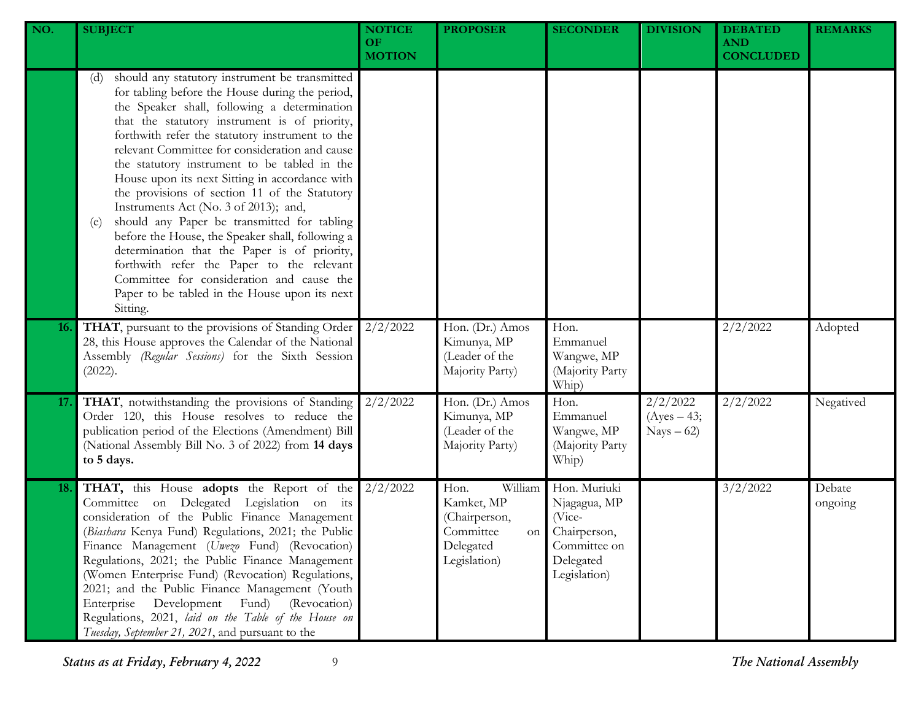| NO.        | <b>SUBJECT</b>                                                                                                                                                                                                                                                                                                                                                                                                                                                                                                                                                                                                                                                                                                                                                                                                              | <b>NOTICE</b><br><b>OF</b><br><b>MOTION</b> | <b>PROPOSER</b>                                                                                | <b>SECONDER</b>                                                                                     | <b>DIVISION</b>                          | <b>DEBATED</b><br><b>AND</b><br><b>CONCLUDED</b> | <b>REMARKS</b>    |
|------------|-----------------------------------------------------------------------------------------------------------------------------------------------------------------------------------------------------------------------------------------------------------------------------------------------------------------------------------------------------------------------------------------------------------------------------------------------------------------------------------------------------------------------------------------------------------------------------------------------------------------------------------------------------------------------------------------------------------------------------------------------------------------------------------------------------------------------------|---------------------------------------------|------------------------------------------------------------------------------------------------|-----------------------------------------------------------------------------------------------------|------------------------------------------|--------------------------------------------------|-------------------|
|            | should any statutory instrument be transmitted<br>(d)<br>for tabling before the House during the period,<br>the Speaker shall, following a determination<br>that the statutory instrument is of priority,<br>forthwith refer the statutory instrument to the<br>relevant Committee for consideration and cause<br>the statutory instrument to be tabled in the<br>House upon its next Sitting in accordance with<br>the provisions of section 11 of the Statutory<br>Instruments Act (No. 3 of 2013); and,<br>should any Paper be transmitted for tabling<br>(e)<br>before the House, the Speaker shall, following a<br>determination that the Paper is of priority,<br>forthwith refer the Paper to the relevant<br>Committee for consideration and cause the<br>Paper to be tabled in the House upon its next<br>Sitting. |                                             |                                                                                                |                                                                                                     |                                          |                                                  |                   |
| <b>16.</b> | THAT, pursuant to the provisions of Standing Order<br>28, this House approves the Calendar of the National<br>Assembly (Regular Sessions) for the Sixth Session<br>(2022).                                                                                                                                                                                                                                                                                                                                                                                                                                                                                                                                                                                                                                                  | 2/2/2022                                    | Hon. (Dr.) Amos<br>Kimunya, MP<br>(Leader of the<br>Majority Party)                            | Hon.<br>Emmanuel<br>Wangwe, MP<br>(Majority Party<br>Whip)                                          |                                          | 2/2/2022                                         | Adopted           |
| 17.        | THAT, notwithstanding the provisions of Standing<br>Order 120, this House resolves to reduce the<br>publication period of the Elections (Amendment) Bill<br>(National Assembly Bill No. 3 of 2022) from 14 days<br>to 5 days.                                                                                                                                                                                                                                                                                                                                                                                                                                                                                                                                                                                               | 2/2/2022                                    | Hon. (Dr.) Amos<br>Kimunya, MP<br>(Leader of the<br>Majority Party)                            | Hon.<br>Emmanuel<br>Wangwe, MP<br>(Majority Party<br>Whip)                                          | 2/2/2022<br>$(Ayes - 43;$<br>$Nays - 62$ | 2/2/2022                                         | Negatived         |
| 18.        | THAT, this House adopts the Report of the<br>Committee on Delegated Legislation on its<br>consideration of the Public Finance Management<br>(Biashara Kenya Fund) Regulations, 2021; the Public<br>Finance Management (Uwezo Fund) (Revocation)<br>Regulations, 2021; the Public Finance Management<br>(Women Enterprise Fund) (Revocation) Regulations,<br>2021; and the Public Finance Management (Youth<br>(Revocation)<br>Enterprise<br>Development<br>Fund)<br>Regulations, 2021, laid on the Table of the House on<br>Tuesday, September 21, 2021, and pursuant to the                                                                                                                                                                                                                                                | 2/2/2022                                    | Hon.<br>William<br>Kamket, MP<br>(Chairperson,<br>Committee<br>on<br>Delegated<br>Legislation) | Hon. Muriuki<br>Njagagua, MP<br>(Vice-<br>Chairperson,<br>Committee on<br>Delegated<br>Legislation) |                                          | 3/2/2022                                         | Debate<br>ongoing |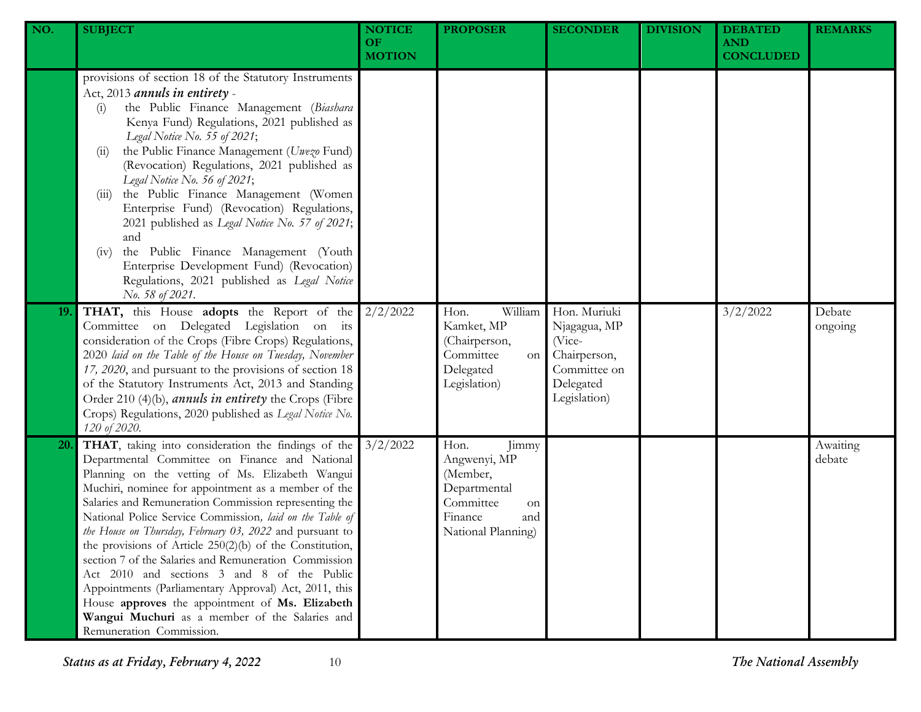| NO. | <b>SUBJECT</b>                                                                                                                                                                                                                                                                                                                                                                                                                                                                                                                                                                                                                                                                                                                                                 | <b>NOTICE</b><br>OF.<br><b>MOTION</b> | <b>PROPOSER</b>                                                                                                      | <b>SECONDER</b>                                                                                     | <b>DIVISION</b> | <b>DEBATED</b><br><b>AND</b><br><b>CONCLUDED</b> | <b>REMARKS</b>     |
|-----|----------------------------------------------------------------------------------------------------------------------------------------------------------------------------------------------------------------------------------------------------------------------------------------------------------------------------------------------------------------------------------------------------------------------------------------------------------------------------------------------------------------------------------------------------------------------------------------------------------------------------------------------------------------------------------------------------------------------------------------------------------------|---------------------------------------|----------------------------------------------------------------------------------------------------------------------|-----------------------------------------------------------------------------------------------------|-----------------|--------------------------------------------------|--------------------|
|     | provisions of section 18 of the Statutory Instruments<br>Act, 2013 annuls in entirety -<br>the Public Finance Management (Biashara<br>(i)<br>Kenya Fund) Regulations, 2021 published as<br>Legal Notice No. 55 of 2021;<br>the Public Finance Management (Uwezo Fund)<br>(11)<br>(Revocation) Regulations, 2021 published as<br>Legal Notice No. 56 of 2021;<br>the Public Finance Management (Women<br>(111)<br>Enterprise Fund) (Revocation) Regulations,<br>2021 published as Legal Notice No. 57 of 2021;<br>and<br>the Public Finance Management (Youth<br>(1V)<br>Enterprise Development Fund) (Revocation)<br>Regulations, 2021 published as Legal Notice<br>No. 58 of 2021.                                                                            |                                       |                                                                                                                      |                                                                                                     |                 |                                                  |                    |
| 19. | THAT, this House adopts the Report of the<br>Committee on Delegated Legislation on its<br>consideration of the Crops (Fibre Crops) Regulations,<br>2020 laid on the Table of the House on Tuesday, November<br>17, 2020, and pursuant to the provisions of section 18<br>of the Statutory Instruments Act, 2013 and Standing<br>Order 210 (4)(b), <i>annuls in entirety</i> the Crops (Fibre<br>Crops) Regulations, 2020 published as Legal Notice No.<br>120 of 2020.                                                                                                                                                                                                                                                                                         | 2/2/2022                              | William<br>Hon.<br>Kamket, MP<br>(Chairperson,<br>Committee<br>on<br>Delegated<br>Legislation)                       | Hon. Muriuki<br>Njagagua, MP<br>(Vice-<br>Chairperson,<br>Committee on<br>Delegated<br>Legislation) |                 | 3/2/2022                                         | Debate<br>ongoing  |
| 20. | THAT, taking into consideration the findings of the<br>Departmental Committee on Finance and National<br>Planning on the vetting of Ms. Elizabeth Wangui<br>Muchiri, nominee for appointment as a member of the<br>Salaries and Remuneration Commission representing the<br>National Police Service Commission, laid on the Table of<br>the House on Thursday, February 03, 2022 and pursuant to<br>the provisions of Article 250(2)(b) of the Constitution,<br>section 7 of the Salaries and Remuneration Commission<br>Act 2010 and sections 3 and 8 of the Public<br>Appointments (Parliamentary Approval) Act, 2011, this<br>House approves the appointment of Ms. Elizabeth<br>Wangui Muchuri as a member of the Salaries and<br>Remuneration Commission. | 3/2/2022                              | Hon.<br>Jimmy<br>Angwenyi, MP<br>(Member,<br>Departmental<br>Committee<br>on<br>Finance<br>and<br>National Planning) |                                                                                                     |                 |                                                  | Awaiting<br>debate |